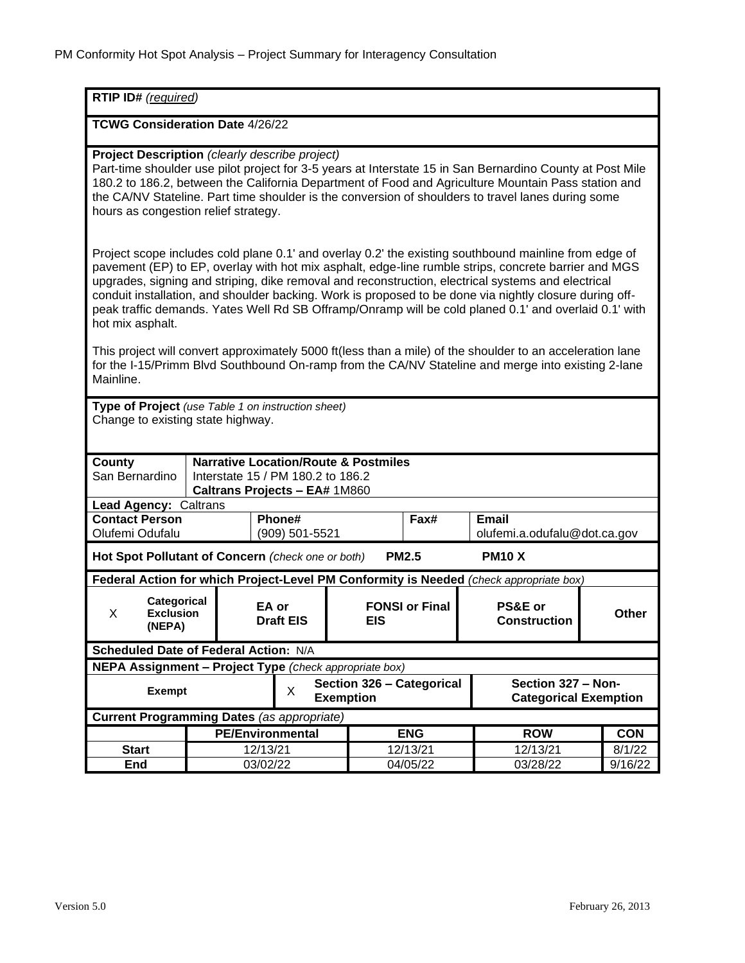| RTIP ID# (required)                                                                                                                                                                                                                                                                                                                                                                                                                                                                                                                                         |          |                           |                                               |                       |                                                    |              |
|-------------------------------------------------------------------------------------------------------------------------------------------------------------------------------------------------------------------------------------------------------------------------------------------------------------------------------------------------------------------------------------------------------------------------------------------------------------------------------------------------------------------------------------------------------------|----------|---------------------------|-----------------------------------------------|-----------------------|----------------------------------------------------|--------------|
| <b>TCWG Consideration Date 4/26/22</b>                                                                                                                                                                                                                                                                                                                                                                                                                                                                                                                      |          |                           |                                               |                       |                                                    |              |
| Project Description (clearly describe project)<br>Part-time shoulder use pilot project for 3-5 years at Interstate 15 in San Bernardino County at Post Mile<br>180.2 to 186.2, between the California Department of Food and Agriculture Mountain Pass station and<br>the CA/NV Stateline. Part time shoulder is the conversion of shoulders to travel lanes during some<br>hours as congestion relief strategy.                                                                                                                                            |          |                           |                                               |                       |                                                    |              |
| Project scope includes cold plane 0.1' and overlay 0.2' the existing southbound mainline from edge of<br>pavement (EP) to EP, overlay with hot mix asphalt, edge-line rumble strips, concrete barrier and MGS<br>upgrades, signing and striping, dike removal and reconstruction, electrical systems and electrical<br>conduit installation, and shoulder backing. Work is proposed to be done via nightly closure during off-<br>peak traffic demands. Yates Well Rd SB Offramp/Onramp will be cold planed 0.1' and overlaid 0.1' with<br>hot mix asphalt. |          |                           |                                               |                       |                                                    |              |
| This project will convert approximately 5000 ft(less than a mile) of the shoulder to an acceleration lane<br>for the I-15/Primm Blvd Southbound On-ramp from the CA/NV Stateline and merge into existing 2-lane<br>Mainline.                                                                                                                                                                                                                                                                                                                                |          |                           |                                               |                       |                                                    |              |
| Type of Project (use Table 1 on instruction sheet)<br>Change to existing state highway.                                                                                                                                                                                                                                                                                                                                                                                                                                                                     |          |                           |                                               |                       |                                                    |              |
| <b>Narrative Location/Route &amp; Postmiles</b><br>County<br>San Bernardino<br>Interstate 15 / PM 180.2 to 186.2<br>Caltrans Projects - EA# 1M860                                                                                                                                                                                                                                                                                                                                                                                                           |          |                           |                                               |                       |                                                    |              |
| Lead Agency: Caltrans                                                                                                                                                                                                                                                                                                                                                                                                                                                                                                                                       |          |                           |                                               |                       |                                                    |              |
| <b>Contact Person</b><br>Olufemi Odufalu                                                                                                                                                                                                                                                                                                                                                                                                                                                                                                                    |          | Phone#<br>(909) 501-5521  |                                               | Fax#                  | <b>Email</b><br>olufemi.a.odufalu@dot.ca.gov       |              |
| <b>PM2.5</b><br>Hot Spot Pollutant of Concern (check one or both)<br><b>PM10 X</b>                                                                                                                                                                                                                                                                                                                                                                                                                                                                          |          |                           |                                               |                       |                                                    |              |
| Federal Action for which Project-Level PM Conformity is Needed (check appropriate box)                                                                                                                                                                                                                                                                                                                                                                                                                                                                      |          |                           |                                               |                       |                                                    |              |
| <b>Categorical</b><br>X<br><b>Exclusion</b><br>(NEPA)                                                                                                                                                                                                                                                                                                                                                                                                                                                                                                       |          | EA or<br><b>Draft EIS</b> | <b>EIS</b>                                    | <b>FONSI or Final</b> | <b>PS&amp;E or</b><br><b>Construction</b>          | <b>Other</b> |
| Scheduled Date of Federal Action: N/A                                                                                                                                                                                                                                                                                                                                                                                                                                                                                                                       |          |                           |                                               |                       |                                                    |              |
| NEPA Assignment - Project Type (check appropriate box)                                                                                                                                                                                                                                                                                                                                                                                                                                                                                                      |          |                           |                                               |                       |                                                    |              |
| <b>Exempt</b>                                                                                                                                                                                                                                                                                                                                                                                                                                                                                                                                               |          | X                         | Section 326 - Categorical<br><b>Exemption</b> |                       | Section 327 - Non-<br><b>Categorical Exemption</b> |              |
| <b>Current Programming Dates (as appropriate)</b>                                                                                                                                                                                                                                                                                                                                                                                                                                                                                                           |          |                           |                                               |                       |                                                    |              |
|                                                                                                                                                                                                                                                                                                                                                                                                                                                                                                                                                             |          | <b>PE/Environmental</b>   |                                               | <b>ENG</b>            | <b>ROW</b>                                         | <b>CON</b>   |
| <b>Start</b>                                                                                                                                                                                                                                                                                                                                                                                                                                                                                                                                                | 12/13/21 |                           |                                               | 12/13/21              | 12/13/21                                           | 8/1/22       |
| End                                                                                                                                                                                                                                                                                                                                                                                                                                                                                                                                                         | 03/02/22 |                           |                                               | 04/05/22              | 03/28/22                                           | 9/16/22      |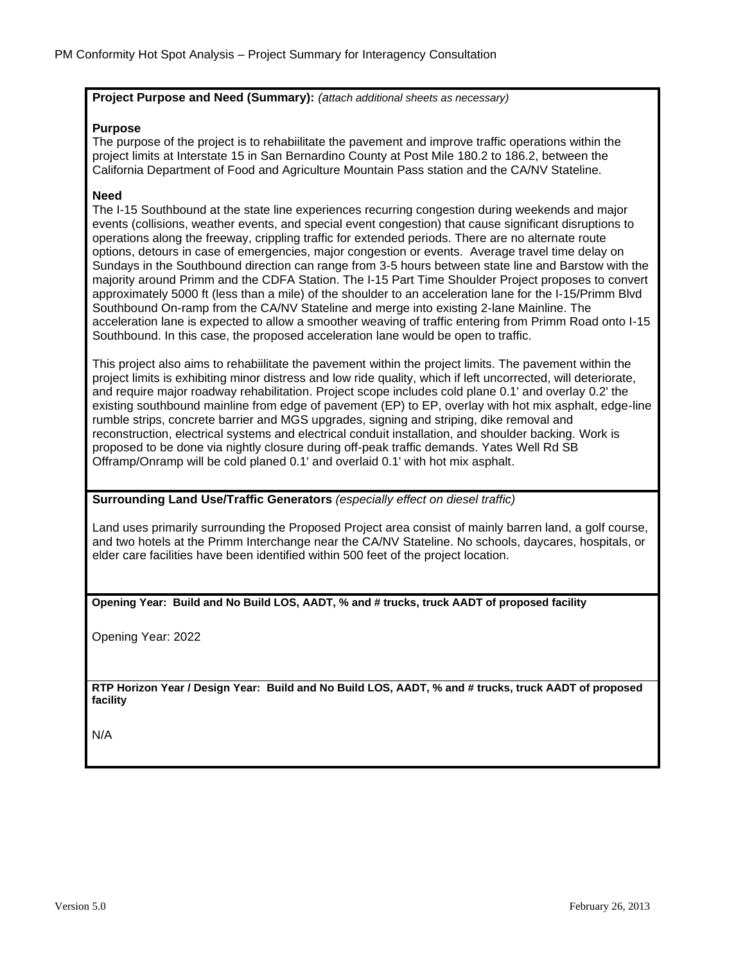## **Project Purpose and Need (Summary):** *(attach additional sheets as necessary)*

## **Purpose**

The purpose of the project is to rehabiilitate the pavement and improve traffic operations within the project limits at Interstate 15 in San Bernardino County at Post Mile 180.2 to 186.2, between the California Department of Food and Agriculture Mountain Pass station and the CA/NV Stateline.

## **Need**

The I-15 Southbound at the state line experiences recurring congestion during weekends and major events (collisions, weather events, and special event congestion) that cause significant disruptions to operations along the freeway, crippling traffic for extended periods. There are no alternate route options, detours in case of emergencies, major congestion or events. Average travel time delay on Sundays in the Southbound direction can range from 3-5 hours between state line and Barstow with the majority around Primm and the CDFA Station. The I-15 Part Time Shoulder Project proposes to convert approximately 5000 ft (less than a mile) of the shoulder to an acceleration lane for the I-15/Primm Blvd Southbound On-ramp from the CA/NV Stateline and merge into existing 2-lane Mainline. The acceleration lane is expected to allow a smoother weaving of traffic entering from Primm Road onto I-15 Southbound. In this case, the proposed acceleration lane would be open to traffic.

This project also aims to rehabiilitate the pavement within the project limits. The pavement within the project limits is exhibiting minor distress and low ride quality, which if left uncorrected, will deteriorate, and require major roadway rehabilitation. Project scope includes cold plane 0.1' and overlay 0.2' the existing southbound mainline from edge of pavement (EP) to EP, overlay with hot mix asphalt, edge-line rumble strips, concrete barrier and MGS upgrades, signing and striping, dike removal and reconstruction, electrical systems and electrical conduit installation, and shoulder backing. Work is proposed to be done via nightly closure during off-peak traffic demands. Yates Well Rd SB Offramp/Onramp will be cold planed 0.1' and overlaid 0.1' with hot mix asphalt.

**Surrounding Land Use/Traffic Generators** *(especially effect on diesel traffic)*

Land uses primarily surrounding the Proposed Project area consist of mainly barren land, a golf course, and two hotels at the Primm Interchange near the CA/NV Stateline. No schools, daycares, hospitals, or elder care facilities have been identified within 500 feet of the project location.

**Opening Year: Build and No Build LOS, AADT, % and # trucks, truck AADT of proposed facility** 

Opening Year: 2022

**RTP Horizon Year / Design Year: Build and No Build LOS, AADT, % and # trucks, truck AADT of proposed facility**

N/A